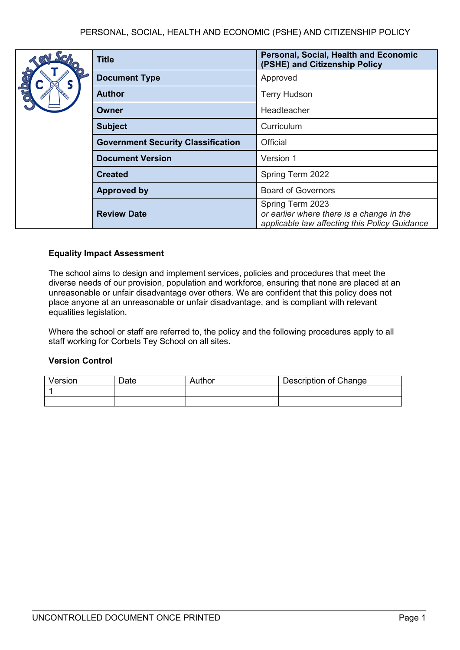Approved

**Terry Hudson** 

**Owner** Headteacher **Subject** Curriculum

**Version 1** 

Spring Term 2022

**Board of Governors** 

Spring Term 2023

**Personal, Social, Health and Economic** 

*or earlier where there is a change in the applicable law affecting this Policy Guidance*

**(PSHE) and Citizenship Policy**

|  | <b>Title</b>                              | Person<br>(PSHE)   |
|--|-------------------------------------------|--------------------|
|  | <b>Document Type</b>                      | Approv             |
|  | <b>Author</b>                             | Terry H            |
|  | <b>Owner</b>                              | Headte             |
|  | <b>Subject</b>                            | Curricu            |
|  | <b>Government Security Classification</b> | <b>Official</b>    |
|  | <b>Document Version</b>                   | Versior            |
|  | <b>Created</b>                            | Spring             |
|  | <b>Approved by</b>                        | Board o            |
|  | <b>Review Date</b>                        | Spring<br>or earli |

# **Equality Impact Assessment**

The school aims to design and implement services, policies and procedures that meet the diverse needs of our provision, population and workforce, ensuring that none are placed at an unreasonable or unfair disadvantage over others. We are confident that this policy does not place anyone at an unreasonable or unfair disadvantage, and is compliant with relevant equalities legislation.

Where the school or staff are referred to, the policy and the following procedures apply to all staff working for Corbets Tey School on all sites.

## **Version Control**

| Version | Date | Author | Description of Change |
|---------|------|--------|-----------------------|
|         |      |        |                       |
|         |      |        |                       |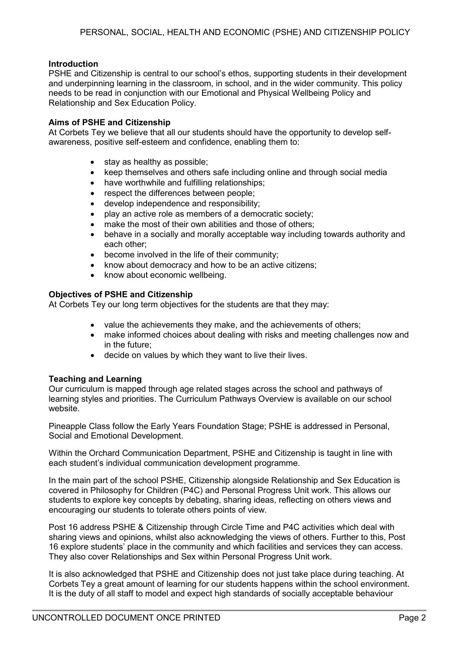# **Introduction**

PSHE and Citizenship is central to our school's ethos, supporting students in their development and underpinning learning in the classroom, in school, and in the wider community. This policy needs to be read in conjunction with our Emotional and Physical Wellbeing Policy and Relationship and Sex Education Policy.

## **Aims of PSHE and Citizenship**

At Corbets Tey we believe that all our students should have the opportunity to develop selfawareness, positive self-esteem and confidence, enabling them to:

- stay as healthy as possible;
- keep themselves and others safe including online and through social media
- have worthwhile and fulfilling relationships;
- respect the differences between people;
- develop independence and responsibility;
- play an active role as members of a democratic society;
- make the most of their own abilities and those of others:
- behave in a socially and morally acceptable way including towards authority and each other;
- become involved in the life of their community;
- know about democracy and how to be an active citizens;
- know about economic wellbeing.

# **Objectives of PSHE and Citizenship**

At Corbets Tey our long term objectives for the students are that they may:

- value the achievements they make, and the achievements of others;
- make informed choices about dealing with risks and meeting challenges now and in the future;
- decide on values by which they want to live their lives.

## **Teaching and Learning**

Our curriculum is mapped through age related stages across the school and pathways of learning styles and priorities. The Curriculum Pathways Overview is available on our school website.

Pineapple Class follow the Early Years Foundation Stage; PSHE is addressed in Personal, Social and Emotional Development.

Within the Orchard Communication Department, PSHE and Citizenship is taught in line with each student's individual communication development programme.

In the main part of the school PSHE, Citizenship alongside Relationship and Sex Education is covered in Philosophy for Children (P4C) and Personal Progress Unit work. This allows our students to explore key concepts by debating, sharing ideas, reflecting on others views and encouraging our students to tolerate others points of view.

Post 16 address PSHE & Citizenship through Circle Time and P4C activities which deal with sharing views and opinions, whilst also acknowledging the views of others. Further to this, Post 16 explore students' place in the community and which facilities and services they can access. They also cover Relationships and Sex within Personal Progress Unit work.

It is also acknowledged that PSHE and Citizenship does not just take place during teaching. At Corbets Tey a great amount of learning for our students happens within the school environment. It is the duty of all staff to model and expect high standards of socially acceptable behaviour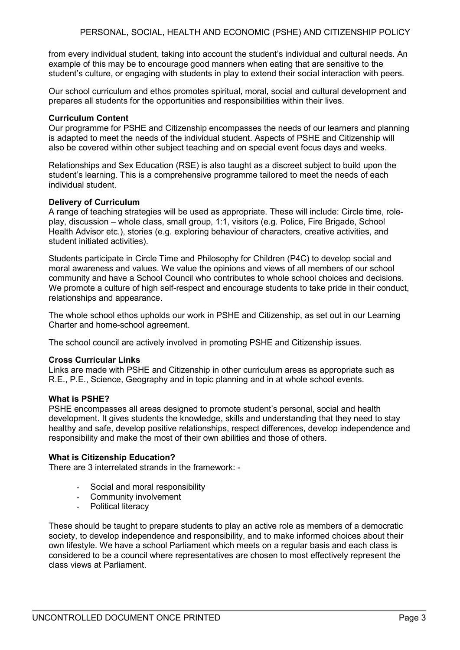from every individual student, taking into account the student's individual and cultural needs. An example of this may be to encourage good manners when eating that are sensitive to the student's culture, or engaging with students in play to extend their social interaction with peers.

Our school curriculum and ethos promotes spiritual, moral, social and cultural development and prepares all students for the opportunities and responsibilities within their lives.

#### **Curriculum Content**

Our programme for PSHE and Citizenship encompasses the needs of our learners and planning is adapted to meet the needs of the individual student. Aspects of PSHE and Citizenship will also be covered within other subject teaching and on special event focus days and weeks.

Relationships and Sex Education (RSE) is also taught as a discreet subject to build upon the student's learning. This is a comprehensive programme tailored to meet the needs of each individual student.

#### **Delivery of Curriculum**

A range of teaching strategies will be used as appropriate. These will include: Circle time, roleplay, discussion – whole class, small group, 1:1, visitors (e.g. Police, Fire Brigade, School Health Advisor etc.), stories (e.g. exploring behaviour of characters, creative activities, and student initiated activities).

Students participate in Circle Time and Philosophy for Children (P4C) to develop social and moral awareness and values. We value the opinions and views of all members of our school community and have a School Council who contributes to whole school choices and decisions. We promote a culture of high self-respect and encourage students to take pride in their conduct, relationships and appearance.

The whole school ethos upholds our work in PSHE and Citizenship, as set out in our Learning Charter and home-school agreement.

The school council are actively involved in promoting PSHE and Citizenship issues.

#### **Cross Curricular Links**

Links are made with PSHE and Citizenship in other curriculum areas as appropriate such as R.E., P.E., Science, Geography and in topic planning and in at whole school events.

#### **What is PSHE?**

PSHE encompasses all areas designed to promote student's personal, social and health development. It gives students the knowledge, skills and understanding that they need to stay healthy and safe, develop positive relationships, respect differences, develop independence and responsibility and make the most of their own abilities and those of others.

#### **What is Citizenship Education?**

There are 3 interrelated strands in the framework: -

- Social and moral responsibility
- Community involvement
- Political literacy

These should be taught to prepare students to play an active role as members of a democratic society, to develop independence and responsibility, and to make informed choices about their own lifestyle. We have a school Parliament which meets on a regular basis and each class is considered to be a council where representatives are chosen to most effectively represent the class views at Parliament.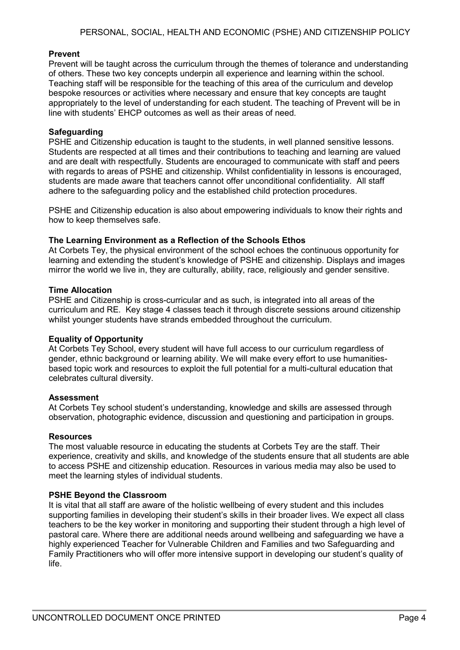# **Prevent**

Prevent will be taught across the curriculum through the themes of tolerance and understanding of others. These two key concepts underpin all experience and learning within the school. Teaching staff will be responsible for the teaching of this area of the curriculum and develop bespoke resources or activities where necessary and ensure that key concepts are taught appropriately to the level of understanding for each student. The teaching of Prevent will be in line with students' EHCP outcomes as well as their areas of need.

## **Safeguarding**

PSHE and Citizenship education is taught to the students, in well planned sensitive lessons. Students are respected at all times and their contributions to teaching and learning are valued and are dealt with respectfully. Students are encouraged to communicate with staff and peers with regards to areas of PSHE and citizenship. Whilst confidentiality in lessons is encouraged, students are made aware that teachers cannot offer unconditional confidentiality. All staff adhere to the safeguarding policy and the established child protection procedures.

PSHE and Citizenship education is also about empowering individuals to know their rights and how to keep themselves safe.

## **The Learning Environment as a Reflection of the Schools Ethos**

At Corbets Tey, the physical environment of the school echoes the continuous opportunity for learning and extending the student's knowledge of PSHE and citizenship. Displays and images mirror the world we live in, they are culturally, ability, race, religiously and gender sensitive.

## **Time Allocation**

PSHE and Citizenship is cross-curricular and as such, is integrated into all areas of the curriculum and RE. Key stage 4 classes teach it through discrete sessions around citizenship whilst younger students have strands embedded throughout the curriculum.

## **Equality of Opportunity**

At Corbets Tey School, every student will have full access to our curriculum regardless of gender, ethnic background or learning ability. We will make every effort to use humanitiesbased topic work and resources to exploit the full potential for a multi-cultural education that celebrates cultural diversity.

## **Assessment**

At Corbets Tey school student's understanding, knowledge and skills are assessed through observation, photographic evidence, discussion and questioning and participation in groups.

## **Resources**

The most valuable resource in educating the students at Corbets Tey are the staff. Their experience, creativity and skills, and knowledge of the students ensure that all students are able to access PSHE and citizenship education. Resources in various media may also be used to meet the learning styles of individual students.

## **PSHE Beyond the Classroom**

It is vital that all staff are aware of the holistic wellbeing of every student and this includes supporting families in developing their student's skills in their broader lives. We expect all class teachers to be the key worker in monitoring and supporting their student through a high level of pastoral care. Where there are additional needs around wellbeing and safeguarding we have a highly experienced Teacher for Vulnerable Children and Families and two Safeguarding and Family Practitioners who will offer more intensive support in developing our student's quality of life.